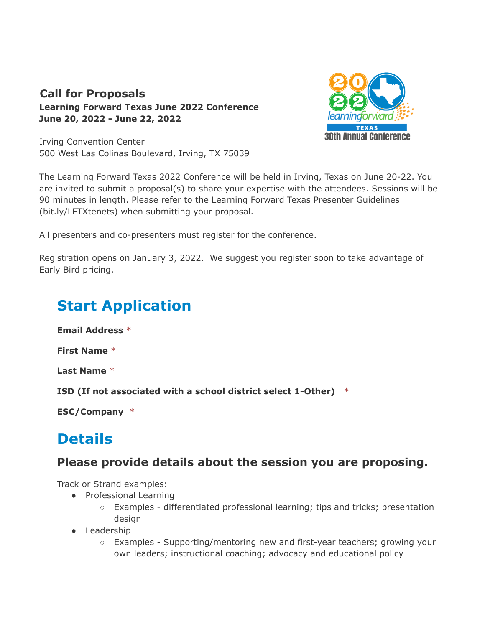### **Call for Proposals Learning Forward Texas June 2022 Conference June 20, 2022 - June 22, 2022**



Irving Convention Center 500 West Las Colinas Boulevard, Irving, TX 75039

The Learning Forward Texas 2022 Conference will be held in Irving, Texas on June 20-22. You are invited to submit a proposal(s) to share your expertise with the attendees. Sessions will be 90 minutes in length. Please refer to the Learning Forward Texas Presenter Guidelines (bit.ly/LFTXtenets) when submitting your proposal.

All presenters and co-presenters must register for the conference.

Registration opens on January 3, 2022. We suggest you register soon to take advantage of Early Bird pricing.

# **Start Application**

**Email Address** \*

**First Name** \*

**Last Name** \*

**ISD (If not associated with a school district select 1-Other)** \*

**ESC/Company** \*

## **Details**

## **Please provide details about the session you are proposing.**

Track or Strand examples:

- Professional Learning
	- Examples differentiated professional learning; tips and tricks; presentation design
- Leadership
	- Examples Supporting/mentoring new and first-year teachers; growing your own leaders; instructional coaching; advocacy and educational policy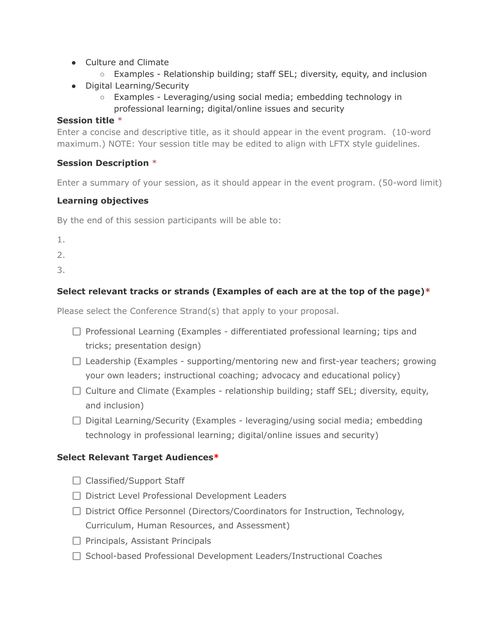- Culture and Climate
	- Examples Relationship building; staff SEL; diversity, equity, and inclusion
- Digital Learning/Security
	- Examples Leveraging/using social media; embedding technology in professional learning; digital/online issues and security

#### **Session title** \*

Enter a concise and descriptive title, as it should appear in the event program. (10-word maximum.) NOTE: Your session title may be edited to align with LFTX style guidelines.

#### **Session Description** \*

Enter a summary of your session, as it should appear in the event program. (50-word limit)

#### **Learning objectives**

By the end of this session participants will be able to:

1.

2.

3.

#### **Select relevant tracks or strands (Examples of each are at the top of the page)\***

Please select the Conference Strand(s) that apply to your proposal.

- $\Box$  Professional Learning (Examples differentiated professional learning; tips and tricks; presentation design)
- $\Box$  Leadership (Examples supporting/mentoring new and first-year teachers; growing your own leaders; instructional coaching; advocacy and educational policy)
- $\Box$  Culture and Climate (Examples relationship building; staff SEL; diversity, equity, and inclusion)
- $\Box$  Digital Learning/Security (Examples leveraging/using social media; embedding technology in professional learning; digital/online issues and security)

#### **Select Relevant Target Audiences\***

- $\Box$  Classified/Support Staff
- □ District Level Professional Development Leaders
- □ District Office Personnel (Directors/Coordinators for Instruction, Technology, Curriculum, Human Resources, and Assessment)
- $\Box$  Principals, Assistant Principals
- $\Box$  School-based Professional Development Leaders/Instructional Coaches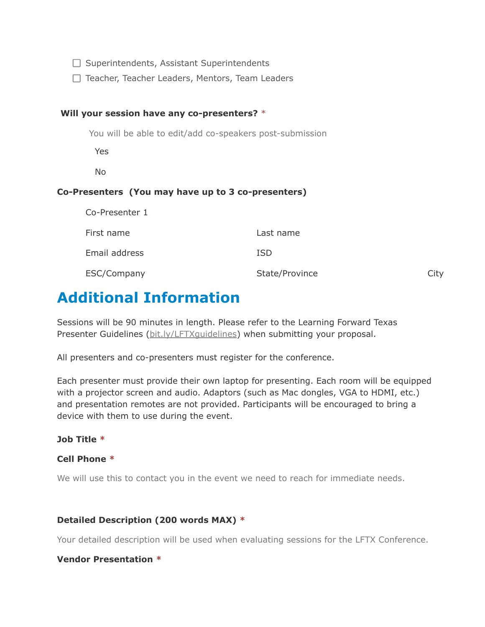$\Box$  Superintendents, Assistant Superintendents

□ Teacher, Teacher Leaders, Mentors, Team Leaders

#### **Will your session have any co-presenters?** \*

You will be able to edit/add co-speakers post-submission

Yes

No

#### **Co-Presenters (You may have up to 3 co-presenters)**

| Co-Presenter 1 |                |      |
|----------------|----------------|------|
| First name     | Last name      |      |
| Email address  | <b>ISD</b>     |      |
| ESC/Company    | State/Province | City |

## **Additional Information**

Sessions will be 90 minutes in length. Please refer to the Learning Forward Texas Presenter Guidelines ([bit.ly/LFTXguidelines\)](https://dash.pheedloop.com/events/EVEWMSJZBPLQD/proposals/bit.ly/LFTXguidelines) when submitting your proposal.

All presenters and co-presenters must register for the conference.

Each presenter must provide their own laptop for presenting. Each room will be equipped with a projector screen and audio. Adaptors (such as Mac dongles, VGA to HDMI, etc.) and presentation remotes are not provided. Participants will be encouraged to bring a device with them to use during the event.

**Job Title \***

#### **Cell Phone \***

We will use this to contact you in the event we need to reach for immediate needs.

#### **Detailed Description (200 words MAX) \***

Your detailed description will be used when evaluating sessions for the LFTX Conference.

#### **Vendor Presentation \***